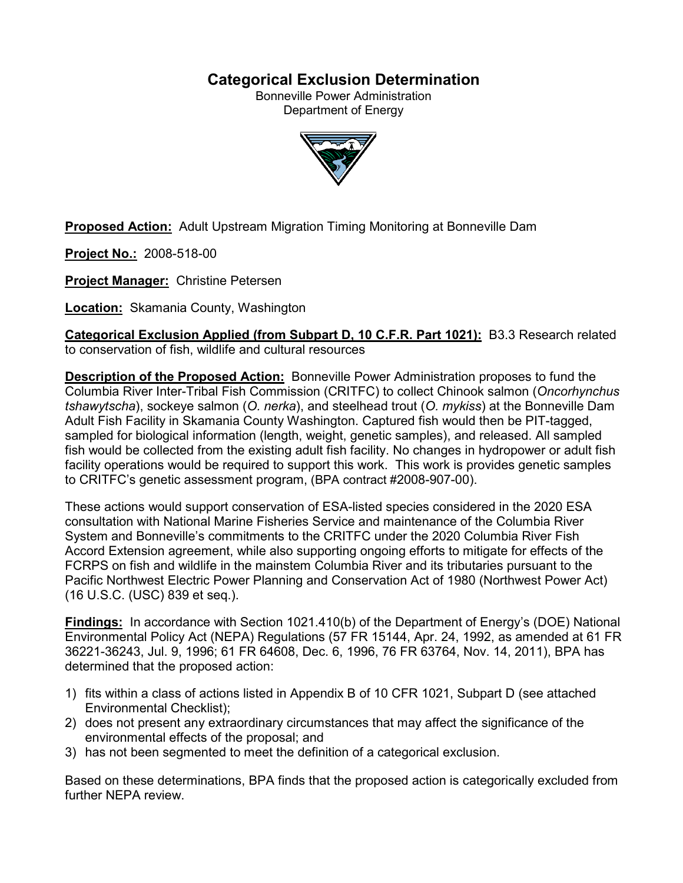# **Categorical Exclusion Determination**

Bonneville Power Administration Department of Energy



**Proposed Action:** Adult Upstream Migration Timing Monitoring at Bonneville Dam

**Project No.:** 2008-518-00

**Project Manager:** Christine Petersen

**Location:** Skamania County, Washington

**Categorical Exclusion Applied (from Subpart D, 10 C.F.R. Part 1021):** B3.3 Research related to conservation of fish, wildlife and cultural resources

**Description of the Proposed Action:** Bonneville Power Administration proposes to fund the Columbia River Inter-Tribal Fish Commission (CRITFC) to collect Chinook salmon (*Oncorhynchus tshawytscha*), sockeye salmon (*O. nerka*), and steelhead trout (*O. mykiss*) at the Bonneville Dam Adult Fish Facility in Skamania County Washington. Captured fish would then be PIT-tagged, sampled for biological information (length, weight, genetic samples), and released. All sampled fish would be collected from the existing adult fish facility. No changes in hydropower or adult fish facility operations would be required to support this work. This work is provides genetic samples to CRITFC's genetic assessment program, (BPA contract #2008-907-00).

These actions would support conservation of ESA-listed species considered in the 2020 ESA consultation with National Marine Fisheries Service and maintenance of the Columbia River System and Bonneville's commitments to the CRITFC under the 2020 Columbia River Fish Accord Extension agreement, while also supporting ongoing efforts to mitigate for effects of the FCRPS on fish and wildlife in the mainstem Columbia River and its tributaries pursuant to the Pacific Northwest Electric Power Planning and Conservation Act of 1980 (Northwest Power Act) (16 U.S.C. (USC) 839 et seq.).

**Findings:** In accordance with Section 1021.410(b) of the Department of Energy's (DOE) National Environmental Policy Act (NEPA) Regulations (57 FR 15144, Apr. 24, 1992, as amended at 61 FR 36221-36243, Jul. 9, 1996; 61 FR 64608, Dec. 6, 1996, 76 FR 63764, Nov. 14, 2011), BPA has determined that the proposed action:

- 1) fits within a class of actions listed in Appendix B of 10 CFR 1021, Subpart D (see attached Environmental Checklist);
- 2) does not present any extraordinary circumstances that may affect the significance of the environmental effects of the proposal; and
- 3) has not been segmented to meet the definition of a categorical exclusion.

Based on these determinations, BPA finds that the proposed action is categorically excluded from further NFPA review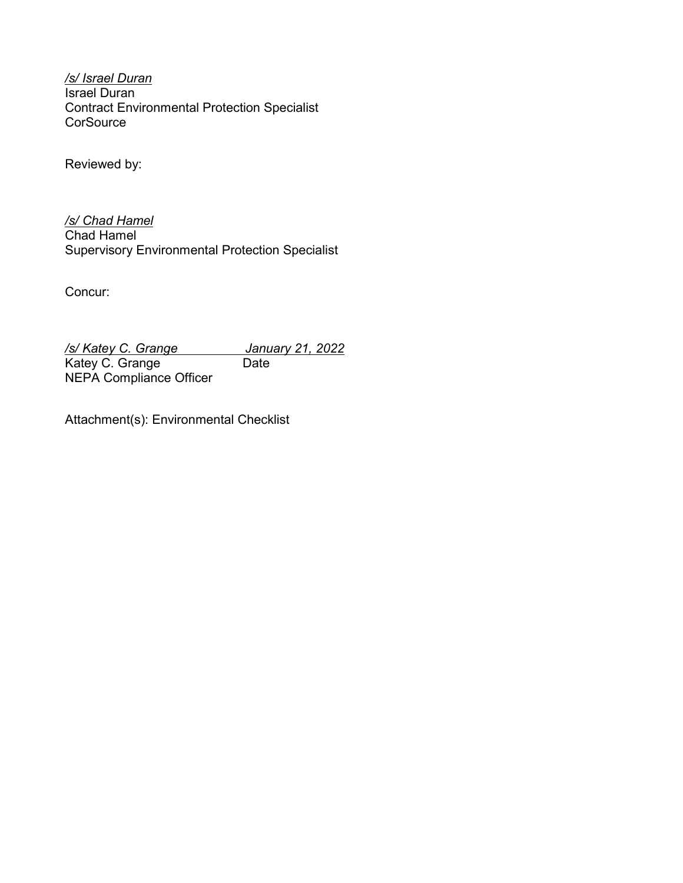*/s/ Israel Duran* Israel Duran Contract Environmental Protection Specialist **CorSource** 

Reviewed by:

*/s/ Chad Hamel* Chad Hamel Supervisory Environmental Protection Specialist

Concur:

*/s/ Katey C. Grange January 21, 2022* Katey C. Grange Date NEPA Compliance Officer

Attachment(s): Environmental Checklist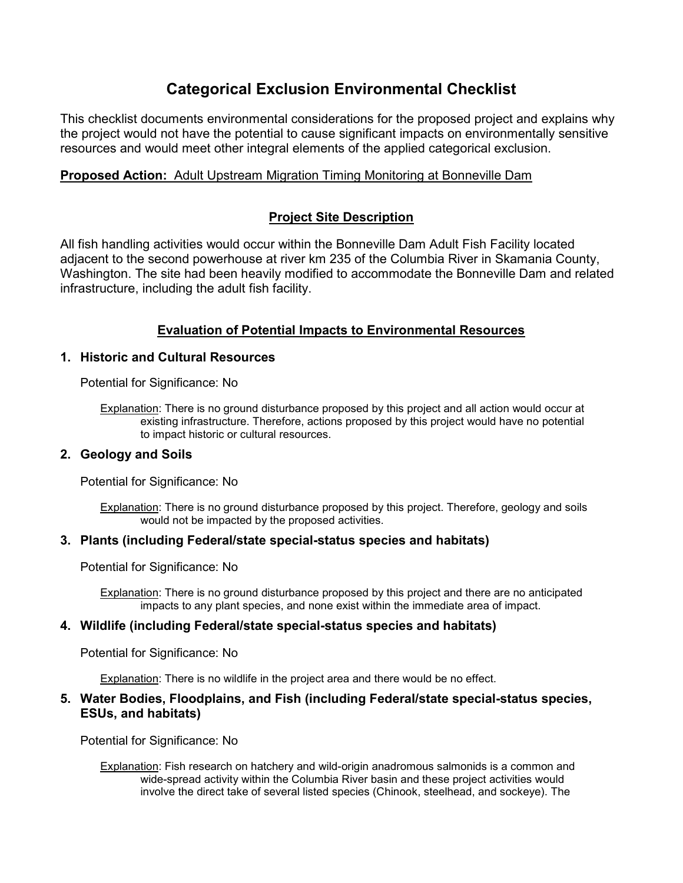# **Categorical Exclusion Environmental Checklist**

This checklist documents environmental considerations for the proposed project and explains why the project would not have the potential to cause significant impacts on environmentally sensitive resources and would meet other integral elements of the applied categorical exclusion.

# **Proposed Action:** Adult Upstream Migration Timing Monitoring at Bonneville Dam

# **Project Site Description**

All fish handling activities would occur within the Bonneville Dam Adult Fish Facility located adjacent to the second powerhouse at river km 235 of the Columbia River in Skamania County, Washington. The site had been heavily modified to accommodate the Bonneville Dam and related infrastructure, including the adult fish facility.

# **Evaluation of Potential Impacts to Environmental Resources**

### **1. Historic and Cultural Resources**

Potential for Significance: No

Explanation: There is no ground disturbance proposed by this project and all action would occur at existing infrastructure. Therefore, actions proposed by this project would have no potential to impact historic or cultural resources.

## **2. Geology and Soils**

Potential for Significance: No

Explanation: There is no ground disturbance proposed by this project. Therefore, geology and soils would not be impacted by the proposed activities.

## **3. Plants (including Federal/state special-status species and habitats)**

Potential for Significance: No

Explanation: There is no ground disturbance proposed by this project and there are no anticipated impacts to any plant species, and none exist within the immediate area of impact.

#### **4. Wildlife (including Federal/state special-status species and habitats)**

Potential for Significance: No

Explanation: There is no wildlife in the project area and there would be no effect.

#### **5. Water Bodies, Floodplains, and Fish (including Federal/state special-status species, ESUs, and habitats)**

Potential for Significance: No

Explanation: Fish research on hatchery and wild-origin anadromous salmonids is a common and wide-spread activity within the Columbia River basin and these project activities would involve the direct take of several listed species (Chinook, steelhead, and sockeye). The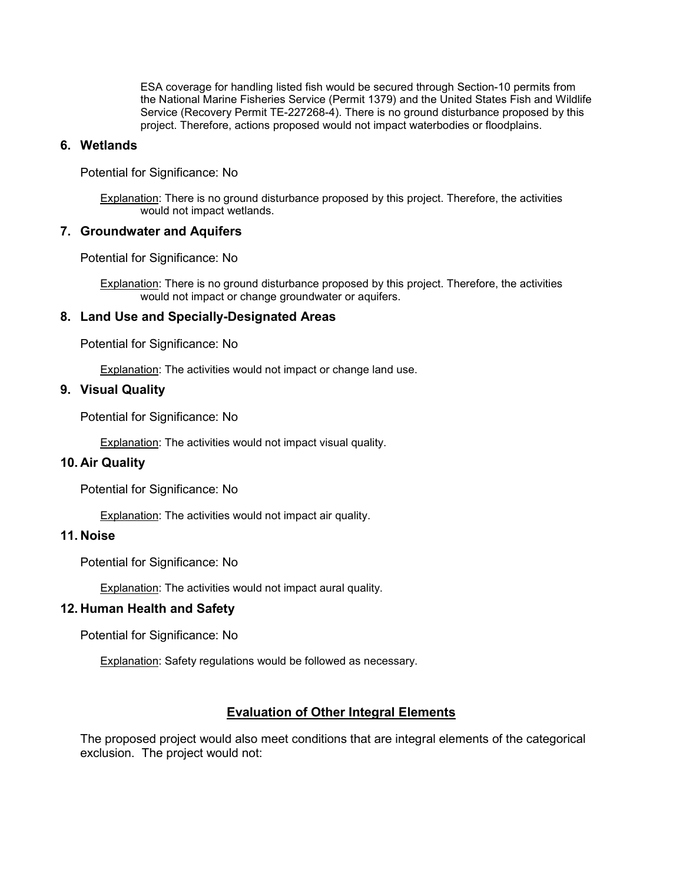ESA coverage for handling listed fish would be secured through Section-10 permits from the National Marine Fisheries Service (Permit 1379) and the United States Fish and Wildlife Service (Recovery Permit TE-227268-4). There is no ground disturbance proposed by this project. Therefore, actions proposed would not impact waterbodies or floodplains.

#### **6. Wetlands**

Potential for Significance: No

Explanation: There is no ground disturbance proposed by this project. Therefore, the activities would not impact wetlands.

#### **7. Groundwater and Aquifers**

Potential for Significance: No

Explanation: There is no ground disturbance proposed by this project. Therefore, the activities would not impact or change groundwater or aquifers.

## **8. Land Use and Specially-Designated Areas**

Potential for Significance: No

Explanation: The activities would not impact or change land use.

## **9. Visual Quality**

Potential for Significance: No

Explanation: The activities would not impact visual quality.

#### **10. Air Quality**

Potential for Significance: No

**Explanation:** The activities would not impact air quality.

## **11. Noise**

Potential for Significance: No

Explanation: The activities would not impact aural quality.

#### **12. Human Health and Safety**

Potential for Significance: No

**Explanation: Safety regulations would be followed as necessary.** 

# **Evaluation of Other Integral Elements**

The proposed project would also meet conditions that are integral elements of the categorical exclusion. The project would not: